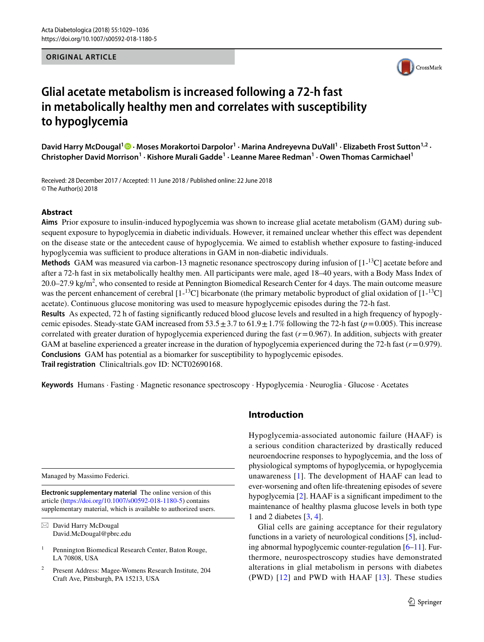#### **ORIGINAL ARTICLE**



# **Glial acetate metabolism is increased following a 72-h fast in metabolically healthy men and correlates with susceptibility to hypoglycemia**

David Harry McDougal<sup>[1](http://orcid.org/0000-0003-4243-4897)</sup><sup>®</sup> · Moses Morakortoi Darpolor<sup>1</sup> · Marina Andreyevna DuVall<sup>1</sup> · Elizabeth Frost Sutton<sup>1,2</sup> · **Christopher David Morrison<sup>1</sup> · Kishore Murali Gadde1 · Leanne Maree Redman1 · Owen Thomas Carmichael1**

Received: 28 December 2017 / Accepted: 11 June 2018 / Published online: 22 June 2018 © The Author(s) 2018

## **Abstract**

**Aims** Prior exposure to insulin-induced hypoglycemia was shown to increase glial acetate metabolism (GAM) during subsequent exposure to hypoglycemia in diabetic individuals. However, it remained unclear whether this effect was dependent on the disease state or the antecedent cause of hypoglycemia. We aimed to establish whether exposure to fasting-induced hypoglycemia was sufficient to produce alterations in GAM in non-diabetic individuals.

Methods GAM was measured via carbon-13 magnetic resonance spectroscopy during infusion of [1-<sup>13</sup>C] acetate before and after a 72-h fast in six metabolically healthy men. All participants were male, aged 18–40 years, with a Body Mass Index of  $20.0 - 27.9 \text{ kg/m}^2$ , who consented to reside at Pennington Biomedical Research Center for 4 days. The main outcome measure was the percent enhancement of cerebral  $[1-1^3C]$  bicarbonate (the primary metabolic byproduct of glial oxidation of  $[1-1^3C]$ acetate). Continuous glucose monitoring was used to measure hypoglycemic episodes during the 72-h fast.

**Results** As expected, 72 h of fasting significantly reduced blood glucose levels and resulted in a high frequency of hypoglycemic episodes. Steady-state GAM increased from  $53.5 \pm 3.7$  to  $61.9 \pm 1.7\%$  following the 72-h fast ( $p=0.005$ ). This increase correlated with greater duration of hypoglycemia experienced during the fast  $(r=0.967)$ . In addition, subjects with greater GAM at baseline experienced a greater increase in the duration of hypoglycemia experienced during the 72-h fast (*r*=0.979). **Conclusions** GAM has potential as a biomarker for susceptibility to hypoglycemic episodes. **Trail registration** Clinicaltrials.gov ID: NCT02690168.

**Keywords** Humans · Fasting · Magnetic resonance spectroscopy · Hypoglycemia · Neuroglia · Glucose · Acetates

Managed by Massimo Federici.

**Electronic supplementary material** The online version of this article [\(https://doi.org/10.1007/s00592-018-1180-5\)](https://doi.org/10.1007/s00592-018-1180-5) contains supplementary material, which is available to authorized users.

## **Introduction**

Hypoglycemia-associated autonomic failure (HAAF) is a serious condition characterized by drastically reduced neuroendocrine responses to hypoglycemia, and the loss of physiological symptoms of hypoglycemia, or hypoglycemia unawareness [[1](#page-6-0)]. The development of HAAF can lead to ever-worsening and often life-threatening episodes of severe hypoglycemia [\[2](#page-6-1)]. HAAF is a significant impediment to the maintenance of healthy plasma glucose levels in both type 1 and 2 diabetes [[3](#page-6-2), [4](#page-6-3)].

Glial cells are gaining acceptance for their regulatory functions in a variety of neurological conditions [[5\]](#page-6-4), including abnormal hypoglycemic counter-regulation [\[6](#page-6-5)[–11](#page-6-6)]. Furthermore, neurospectroscopy studies have demonstrated alterations in glial metabolism in persons with diabetes (PWD) [[12](#page-6-7)] and PWD with HAAF [\[13\]](#page-6-8). These studies

 $\boxtimes$  David Harry McDougal David.McDougal@pbrc.edu

<sup>&</sup>lt;sup>1</sup> Pennington Biomedical Research Center, Baton Rouge, LA 70808, USA

<sup>2</sup> Present Address: Magee-Womens Research Institute, 204 Craft Ave, Pittsburgh, PA 15213, USA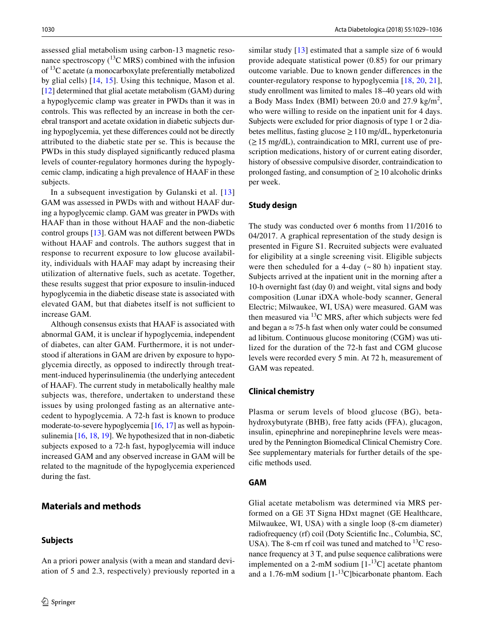assessed glial metabolism using carbon-13 magnetic resonance spectroscopy  $(^{13}C$  MRS) combined with the infusion of 13C acetate (a monocarboxylate preferentially metabolized by glial cells) [[14,](#page-6-9) [15](#page-6-10)]. Using this technique, Mason et al. [\[12](#page-6-7)] determined that glial acetate metabolism (GAM) during a hypoglycemic clamp was greater in PWDs than it was in controls. This was reflected by an increase in both the cerebral transport and acetate oxidation in diabetic subjects during hypoglycemia, yet these differences could not be directly attributed to the diabetic state per se. This is because the PWDs in this study displayed significantly reduced plasma levels of counter-regulatory hormones during the hypoglycemic clamp, indicating a high prevalence of HAAF in these subjects.

In a subsequent investigation by Gulanski et al. [[13\]](#page-6-8) GAM was assessed in PWDs with and without HAAF during a hypoglycemic clamp. GAM was greater in PWDs with HAAF than in those without HAAF and the non-diabetic control groups [[13\]](#page-6-8). GAM was not different between PWDs without HAAF and controls. The authors suggest that in response to recurrent exposure to low glucose availability, individuals with HAAF may adapt by increasing their utilization of alternative fuels, such as acetate. Together, these results suggest that prior exposure to insulin-induced hypoglycemia in the diabetic disease state is associated with elevated GAM, but that diabetes itself is not sufficient to increase GAM.

Although consensus exists that HAAF is associated with abnormal GAM, it is unclear if hypoglycemia, independent of diabetes, can alter GAM. Furthermore, it is not understood if alterations in GAM are driven by exposure to hypoglycemia directly, as opposed to indirectly through treatment-induced hyperinsulinemia (the underlying antecedent of HAAF). The current study in metabolically healthy male subjects was, therefore, undertaken to understand these issues by using prolonged fasting as an alternative antecedent to hypoglycemia. A 72-h fast is known to produce moderate-to-severe hypoglycemia [\[16](#page-6-11), [17\]](#page-6-12) as well as hypoinsulinemia [\[16](#page-6-11), [18,](#page-6-13) [19](#page-6-14)]. We hypothesized that in non-diabetic subjects exposed to a 72-h fast, hypoglycemia will induce increased GAM and any observed increase in GAM will be related to the magnitude of the hypoglycemia experienced during the fast.

## **Materials and methods**

## **Subjects**

similar study [[13\]](#page-6-8) estimated that a sample size of 6 would provide adequate statistical power (0.85) for our primary outcome variable. Due to known gender differences in the counter-regulatory response to hypoglycemia [\[18](#page-6-13), [20,](#page-6-15) [21](#page-6-16)], study enrollment was limited to males 18–40 years old with a Body Mass Index (BMI) between 20.0 and 27.9 kg/m<sup>2</sup>, who were willing to reside on the inpatient unit for 4 days. Subjects were excluded for prior diagnosis of type 1 or 2 diabetes mellitus, fasting glucose  $\geq 110$  mg/dL, hyperketonuria  $(\geq 15 \text{ mg/dL})$ , contraindication to MRI, current use of prescription medications, history of or current eating disorder, history of obsessive compulsive disorder, contraindication to prolonged fasting, and consumption of  $\geq 10$  alcoholic drinks per week.

#### **Study design**

The study was conducted over 6 months from 11/2016 to 04/2017. A graphical representation of the study design is presented in Figure S1. Recruited subjects were evaluated for eligibility at a single screening visit. Eligible subjects were then scheduled for a 4-day  $({\sim} 80 \text{ h})$  inpatient stay. Subjects arrived at the inpatient unit in the morning after a 10-h overnight fast (day 0) and weight, vital signs and body composition (Lunar iDXA whole-body scanner, General Electric; Milwaukee, WI, USA) were measured. GAM was then measured via  $^{13}$ C MRS, after which subjects were fed and began a  $\approx$  75-h fast when only water could be consumed ad libitum. Continuous glucose monitoring (CGM) was utilized for the duration of the 72-h fast and CGM glucose levels were recorded every 5 min. At 72 h, measurement of GAM was repeated.

#### **Clinical chemistry**

Plasma or serum levels of blood glucose (BG), betahydroxybutyrate (BHB), free fatty acids (FFA), glucagon, insulin, epinephrine and norepinephrine levels were measured by the Pennington Biomedical Clinical Chemistry Core. See supplementary materials for further details of the specific methods used.

#### <span id="page-1-0"></span>**GAM**

Glial acetate metabolism was determined via MRS performed on a GE 3T Signa HDxt magnet (GE Healthcare, Milwaukee, WI, USA) with a single loop (8-cm diameter) radiofrequency (rf) coil (Doty Scientific Inc., Columbia, SC, USA). The 8-cm rf coil was tuned and matched to  $^{13}$ C resonance frequency at 3 T, and pulse sequence calibrations were implemented on a 2-mM sodium  $[1 - {}^{13}C]$  acetate phantom and a 1.76-mM sodium  $[1 - {}^{13}C]$ bicarbonate phantom. Each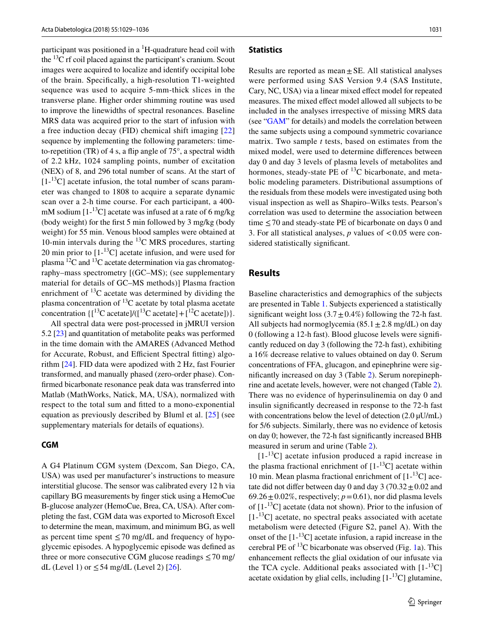participant was positioned in a <sup>1</sup>H-quadrature head coil with the  $^{13}$ C rf coil placed against the participant's cranium. Scout images were acquired to localize and identify occipital lobe of the brain. Specifically, a high-resolution T1-weighted sequence was used to acquire 5-mm-thick slices in the transverse plane. Higher order shimming routine was used to improve the linewidths of spectral resonances. Baseline MRS data was acquired prior to the start of infusion with a free induction decay (FID) chemical shift imaging [[22\]](#page-6-17) sequence by implementing the following parameters: timeto-repetition (TR) of 4 s, a flip angle of 75°, a spectral width of 2.2 kHz, 1024 sampling points, number of excitation (NEX) of 8, and 296 total number of scans. At the start of  $[1<sup>13</sup>C]$  acetate infusion, the total number of scans parameter was changed to 1808 to acquire a separate dynamic scan over a 2-h time course. For each participant, a 400 mM sodium  $[1 - {}^{13}C]$  acetate was infused at a rate of 6 mg/kg (body weight) for the first 5 min followed by 3 mg/kg (body weight) for 55 min. Venous blood samples were obtained at 10-min intervals during the  $^{13}$ C MRS procedures, starting 20 min prior to  $[1]$ -<sup>13</sup>C] acetate infusion, and were used for plasma  ${}^{12}C$  and  ${}^{13}C$  acetate determination via gas chromatography–mass spectrometry [(GC–MS); (see supplementary material for details of GC–MS methods)] Plasma fraction enrichment of  $^{13}$ C acetate was determined by dividing the plasma concentration of  ${}^{13}C$  acetate by total plasma acetate concentration  $\{[^{13}C \text{ acetate}]/([^{13}C \text{ acetate}] + [^{12}C \text{ acetate}])\}.$ 

All spectral data were post-processed in jMRUI version 5.2 [[23\]](#page-7-0) and quantitation of metabolite peaks was performed in the time domain with the AMARES (Advanced Method for Accurate, Robust, and Efficient Spectral fitting) algorithm [\[24](#page-7-1)]. FID data were apodized with 2 Hz, fast Fourier transformed, and manually phased (zero-order phase). Confirmed bicarbonate resonance peak data was transferred into Matlab (MathWorks, Natick, MA, USA), normalized with respect to the total sum and fitted to a mono-exponential equation as previously described by Bluml et al. [\[25](#page-7-2)] (see supplementary materials for details of equations).

#### **CGM**

A G4 Platinum CGM system (Dexcom, San Diego, CA, USA) was used per manufacturer's instructions to measure interstitial glucose. The sensor was calibrated every 12 h via capillary BG measurements by finger stick using a HemoCue B-glucose analyzer (HemoCue, Brea, CA, USA). After completing the fast, CGM data was exported to Microsoft Excel to determine the mean, maximum, and minimum BG, as well as percent time spent ≤70 mg/dL and frequency of hypoglycemic episodes. A hypoglycemic episode was defined as three or more consecutive CGM glucose readings  $\leq$  70 mg/ dL (Level 1) or  $\leq$  54 mg/dL (Level 2) [\[26\]](#page-7-3).

#### **Statistics**

Results are reported as mean $\pm$  SE. All statistical analyses were performed using SAS Version 9.4 (SAS Institute, Cary, NC, USA) via a linear mixed effect model for repeated measures. The mixed effect model allowed all subjects to be included in the analyses irrespective of missing MRS data (see "[GAM"](#page-1-0) for details) and models the correlation between the same subjects using a compound symmetric covariance matrix. Two sample *t* tests, based on estimates from the mixed model, were used to determine differences between day 0 and day 3 levels of plasma levels of metabolites and hormones, steady-state PE of  $^{13}$ C bicarbonate, and metabolic modeling parameters. Distributional assumptions of the residuals from these models were investigated using both visual inspection as well as Shapiro–Wilks tests. Pearson's correlation was used to determine the association between time  $\leq$  70 and steady-state PE of bicarbonate on days 0 and 3. For all statistical analyses,  $p$  values of  $\lt 0.05$  were considered statistically significant.

## **Results**

Baseline characteristics and demographics of the subjects are presented in Table [1.](#page-3-0) Subjects experienced a statistically significant weight loss  $(3.7 \pm 0.4\%)$  following the 72-h fast. All subjects had normoglycemia ( $85.1 \pm 2.8$  mg/dL) on day 0 (following a 12-h fast). Blood glucose levels were significantly reduced on day 3 (following the 72-h fast), exhibiting a 16% decrease relative to values obtained on day 0. Serum concentrations of FFA, glucagon, and epinephrine were significantly increased on day 3 (Table [2\)](#page-3-1). Serum norepinephrine and acetate levels, however, were not changed (Table [2](#page-3-1)). There was no evidence of hyperinsulinemia on day 0 and insulin significantly decreased in response to the 72-h fast with concentrations below the level of detection (2.0  $\mu$ U/mL) for 5/6 subjects. Similarly, there was no evidence of ketosis on day 0; however, the 72-h fast significantly increased BHB measured in serum and urine (Table [2\)](#page-3-1).

 $[1<sup>13</sup>C]$  acetate infusion produced a rapid increase in the plasma fractional enrichment of  $[1-13C]$  acetate within 10 min. Mean plasma fractional enrichment of  $[1-13]$  acetate did not differ between day 0 and day 3 (70.32 $\pm$ 0.02 and 69.26 $\pm$ 0.02%, respectively;  $p=0.61$ ), nor did plasma levels of  $[1 - {}^{13}C]$  acetate (data not shown). Prior to the infusion of  $[1 - {}^{13}C]$  acetate, no spectral peaks associated with acetate metabolism were detected (Figure S2, panel A). With the onset of the  $[1 - {}^{13}C]$  acetate infusion, a rapid increase in the cerebral PE of  $^{13}$ C bicarbonate was observed (Fig. [1a](#page-3-2)). This enhancement reflects the glial oxidation of our infusate via the TCA cycle. Additional peaks associated with  $[1-13C]$ acetate oxidation by glial cells, including  $[1 - {}^{13}C]$  glutamine,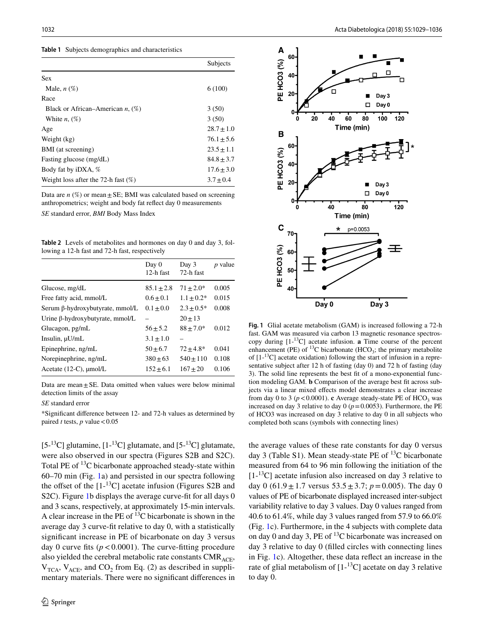<span id="page-3-0"></span>

|  |  |  |  | <b>Table 1</b> Subjects demographics and characteristics |
|--|--|--|--|----------------------------------------------------------|
|--|--|--|--|----------------------------------------------------------|

|                                        | Subjects       |
|----------------------------------------|----------------|
| <b>Sex</b>                             |                |
| Male, $n(\%)$                          | 6(100)         |
| Race                                   |                |
| Black or African–American $n, (\%)$    | 3(50)          |
| White $n, (\%)$                        | 3(50)          |
| Age                                    | $28.7 \pm 1.0$ |
| Weight (kg)                            | $76.1 + 5.6$   |
| BMI (at screening)                     | $23.5 + 1.1$   |
| Fasting glucose (mg/dL)                | $84.8 + 3.7$   |
| Body fat by iDXA, %                    | $17.6 + 3.0$   |
| Weight loss after the 72-h fast $(\%)$ | $3.7 \pm 0.4$  |

Data are  $n$  (%) or mean  $\pm$  SE; BMI was calculated based on screening anthropometrics; weight and body fat reflect day 0 measurements *SE* standard error, *BMI* Body Mass Index

<span id="page-3-1"></span>**Table 2** Levels of metabolites and hormones on day 0 and day 3, following a 12-h fast and 72-h fast, respectively

|                                        | Day 0<br>12-h fast | Day 3<br>72-h fast | <i>p</i> value |
|----------------------------------------|--------------------|--------------------|----------------|
| Glucose, mg/dL                         | $85.1 \pm 2.8$     | $71 + 2.0*$        | 0.005          |
| Free fatty acid, mmol/L                | $0.6 + 0.1$        | $1.1 \pm 0.2*$     | 0.015          |
| Serum β-hydroxybutyrate, mmol/L        | $0.1 + 0.0$        | $2.3 + 0.5*$       | 0.008          |
| Urine $\beta$ -hydroxybutyrate, mmol/L |                    | $20 + 13$          |                |
| Glucagon, pg/mL                        | $56 + 5.2$         | $88 + 7.0*$        | 0.012          |
| Insulin, $\mu U/mL$                    | $3.1 \pm 1.0$      |                    |                |
| Epinephrine, ng/mL                     | $50 + 6.7$         | $72 + 4.8*$        | 0.041          |
| Norepinephrine, ng/mL                  | $380 \pm 63$       | $540 \pm 110$      | 0.108          |
| Acetate $(12-C)$ , $\mu$ mol/L         | $152 \pm 6.1$      | $167 + 20$         | 0.106          |

Data are mean $\pm$ SE. Data omitted when values were below minimal detection limits of the assay

*SE* standard error

\*Significant difference between 12- and 72-h values as determined by paired *t* tests, *p* value  $< 0.05$ 

 $[5^{-13}C]$  glutamine,  $[1^{-13}C]$  glutamate, and  $[5^{-13}C]$  glutamate, were also observed in our spectra (Figures S2B and S2C). Total PE of 13C bicarbonate approached steady-state within 60–70 min (Fig. [1a](#page-3-2)) and persisted in our spectra following the offset of the  $[1 - {}^{13}C]$  acetate infusion (Figures S2B and S2C). Figure [1](#page-3-2)b displays the average curve-fit for all days 0 and 3 scans, respectively, at approximately 15-min intervals. A clear increase in the PE of  $^{13}$ C bicarbonate is shown in the average day 3 curve-fit relative to day 0, with a statistically significant increase in PE of bicarbonate on day 3 versus day 0 curve fits  $(p < 0.0001)$ . The curve-fitting procedure also yielded the cerebral metabolic rate constants  $CMR_{ACE}$ ,  $V_{TCA}$ ,  $V_{ACE}$ , and  $CO<sub>2</sub>$  from Eq. (2) as described in supplimentary materials. There were no significant differences in



<span id="page-3-2"></span>**Fig. 1** Glial acetate metabolism (GAM) is increased following a 72-h fast. GAM was measured via carbon 13 magnetic resonance spectroscopy during [1-13C] acetate infusion. **a** Time course of the percent enhancement (PE) of  $^{13}$ C bicarbonate (HCO<sub>3</sub>; the primary metabolite of  $[1^{-13}C]$  acetate oxidation) following the start of infusion in a representative subject after 12 h of fasting (day 0) and 72 h of fasting (day 3). The solid line represents the best fit of a mono-exponential function modeling GAM. **b** Comparison of the average best fit across subjects via a linear mixed effects model demonstrates a clear increase from day 0 to 3 ( $p < 0.0001$ ). **c** Average steady-state PE of HCO<sub>3</sub> was increased on day 3 relative to day  $0 (p=0.0053)$ . Furthermore, the PE of HCO3 was increased on day 3 relative to day 0 in all subjects who completed both scans (symbols with connecting lines)

the average values of these rate constants for day 0 versus day 3 (Table S1). Mean steady-state PE of  $^{13}$ C bicarbonate measured from 64 to 96 min following the initiation of the  $[1<sup>13</sup>C]$  acetate infusion also increased on day 3 relative to day 0 (61.9 $\pm$ 1.7 versus 53.5 $\pm$ 3.7; *p* = 0.005). The day 0 values of PE of bicarbonate displayed increased inter-subject variability relative to day 3 values. Day 0 values ranged from 40.6 to 61.4%, while day 3 values ranged from 57.9 to 66.0% (Fig. [1c](#page-3-2)). Furthermore, in the 4 subjects with complete data on day 0 and day 3, PE of  $^{13}$ C bicarbonate was increased on day 3 relative to day 0 (filled circles with connecting lines in Fig. [1c](#page-3-2)). Altogether, these data reflect an increase in the rate of glial metabolism of  $[1 - {}^{13}C]$  acetate on day 3 relative to day 0.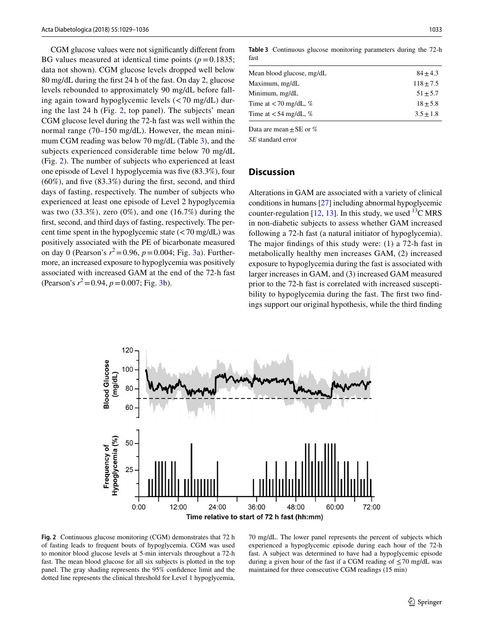CGM glucose values were not significantly different from BG values measured at identical time points  $(p=0.1835;$ data not shown). CGM glucose levels dropped well below 80 mg/dL during the first 24 h of the fast. On day 2, glucose levels rebounded to approximately 90 mg/dL before falling again toward hypoglycemic levels (<70 mg/dL) during the last 24 h (Fig. [2](#page-4-0), top panel). The subjects' mean CGM glucose level during the 72-h fast was well within the normal range (70–150 mg/dL). However, the mean minimum CGM reading was below 70 mg/dL (Table [3\)](#page-4-1), and the subjects experienced considerable time below 70 mg/dL (Fig. [2\)](#page-4-0). The number of subjects who experienced at least one episode of Level 1 hypoglycemia was five (83.3%), four (60%), and five (83.3%) during the first, second, and third days of fasting, respectively. The number of subjects who experienced at least one episode of Level 2 hypoglycemia was two  $(33.3\%)$ , zero  $(0\%)$ , and one  $(16.7\%)$  during the first, second, and third days of fasting, respectively. The percent time spent in the hypoglycemic state  $\left($  < 70 mg/dL) was positively associated with the PE of bicarbonate measured on day 0 (Pearson's  $r^2 = 0.96$ ,  $p = 0.004$ ; Fig. [3](#page-5-0)a). Furthermore, an increased exposure to hypoglycemia was positively associated with increased GAM at the end of the 72-h fast (Pearson's *r* 2=0.94, *p*=0.007; Fig. [3b](#page-5-0)).

<span id="page-4-1"></span>**Table 3** Continuous glucose monitoring parameters during the 72-h fast

| Mean blood glucose, mg/dL                      | $84 + 4.3$  |
|------------------------------------------------|-------------|
| Maximum, mg/dL                                 | $118 + 7.5$ |
| Minimum, mg/dL                                 | $51 + 5.7$  |
| Time at $\langle 70 \text{ mg/dL}, \% \rangle$ | $18 + 5.8$  |
| Time at $<$ 54 mg/dL, %                        | $3.5 + 1.8$ |

Data are mean  $\pm$  SE or %

*SE* standard error

## **Discussion**

Alterations in GAM are associated with a variety of clinical conditions in humans [\[27\]](#page-7-4) including abnormal hypoglycemic counter-regulation [[12,](#page-6-7) [13\]](#page-6-8). In this study, we used <sup>13</sup>C MRS in non-diabetic subjects to assess whether GAM increased following a 72-h fast (a natural initiator of hypoglycemia). The major findings of this study were: (1) a 72-h fast in metabolically healthy men increases GAM, (2) increased exposure to hypoglycemia during the fast is associated with larger increases in GAM, and (3) increased GAM measured prior to the 72-h fast is correlated with increased susceptibility to hypoglycemia during the fast. The first two findings support our original hypothesis, while the third finding



<span id="page-4-0"></span>**Fig. 2** Continuous glucose monitoring (CGM) demonstrates that 72 h of fasting leads to frequent bouts of hypoglycemia. CGM was used to monitor blood glucose levels at 5-min intervals throughout a 72-h fast. The mean blood glucose for all six subjects is plotted in the top panel. The gray shading represents the 95% confidence limit and the dotted line represents the clinical threshold for Level 1 hypoglycemia,

70 mg/dL. The lower panel represents the percent of subjects which experienced a hypoglycemic episode during each hour of the 72-h fast. A subject was determined to have had a hypoglycemic episode during a given hour of the fast if a CGM reading of  $\leq$  70 mg/dL was maintained for three consecutive CGM readings (15 min)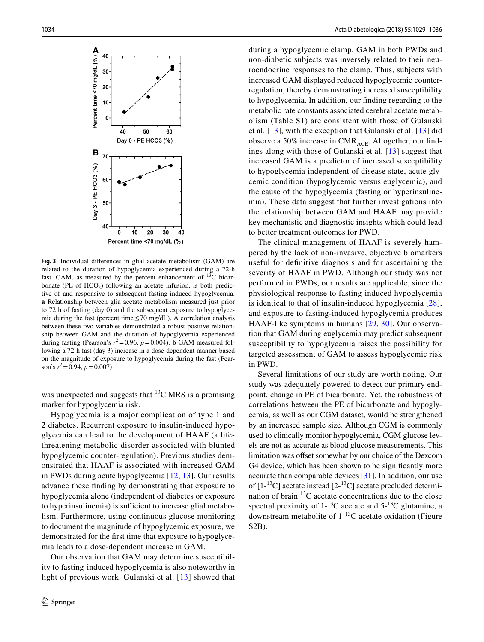

<span id="page-5-0"></span>**Fig. 3** Individual differences in glial acetate metabolism (GAM) are related to the duration of hypoglycemia experienced during a 72-h fast. GAM, as measured by the percent enhancement of  $^{13}C$  bicarbonate (PE of  $HCO<sub>3</sub>$ ) following an acetate infusion, is both predictive of and responsive to subsequent fasting-induced hypoglycemia. **a** Relationship between glia acetate metabolism measured just prior to 72 h of fasting (day 0) and the subsequent exposure to hypoglycemia during the fast (percent time≤70 mg/dL). A correlation analysis between these two variables demonstrated a robust positive relationship between GAM and the duration of hypoglycemia experienced during fasting (Pearson's  $r^2 = 0.96$ ,  $p = 0.004$ ). **b** GAM measured following a 72-h fast (day 3) increase in a dose-dependent manner based on the magnitude of exposure to hypoglycemia during the fast (Pearson's *r* 2=0.94, *p*=0.007)

was unexpected and suggests that  $^{13}$ C MRS is a promising marker for hypoglycemia risk.

Hypoglycemia is a major complication of type 1 and 2 diabetes. Recurrent exposure to insulin-induced hypoglycemia can lead to the development of HAAF (a lifethreatening metabolic disorder associated with blunted hypoglycemic counter-regulation). Previous studies demonstrated that HAAF is associated with increased GAM in PWDs during acute hypoglycemia [[12](#page-6-7), [13\]](#page-6-8). Our results advance these finding by demonstrating that exposure to hypoglycemia alone (independent of diabetes or exposure to hyperinsulinemia) is sufficient to increase glial metabolism. Furthermore, using continuous glucose monitoring to document the magnitude of hypoglycemic exposure, we demonstrated for the first time that exposure to hypoglycemia leads to a dose-dependent increase in GAM.

Our observation that GAM may determine susceptibility to fasting-induced hypoglycemia is also noteworthy in light of previous work. Gulanski et al. [\[13\]](#page-6-8) showed that during a hypoglycemic clamp, GAM in both PWDs and non-diabetic subjects was inversely related to their neuroendocrine responses to the clamp. Thus, subjects with increased GAM displayed reduced hypoglycemic counterregulation, thereby demonstrating increased susceptibility to hypoglycemia. In addition, our finding regarding to the metabolic rate constants associated cerebral acetate metabolism (Table S1) are consistent with those of Gulanski et al. [\[13\]](#page-6-8), with the exception that Gulanski et al. [[13](#page-6-8)] did observe a 50% increase in  $CMR_{ACE}$ . Altogether, our findings along with those of Gulanski et al. [[13](#page-6-8)] suggest that increased GAM is a predictor of increased susceptibility to hypoglycemia independent of disease state, acute glycemic condition (hypoglycemic versus euglycemic), and the cause of the hypoglycemia (fasting or hyperinsulinemia). These data suggest that further investigations into the relationship between GAM and HAAF may provide key mechanistic and diagnostic insights which could lead to better treatment outcomes for PWD.

The clinical management of HAAF is severely hampered by the lack of non-invasive, objective biomarkers useful for definitive diagnosis and for ascertaining the severity of HAAF in PWD. Although our study was not performed in PWDs, our results are applicable, since the physiological response to fasting-induced hypoglycemia is identical to that of insulin-induced hypoglycemia [[28](#page-7-5)], and exposure to fasting-induced hypoglycemia produces HAAF-like symptoms in humans [[29](#page-7-6), [30\]](#page-7-7). Our observation that GAM during euglycemia may predict subsequent susceptibility to hypoglycemia raises the possibility for targeted assessment of GAM to assess hypoglycemic risk in PWD.

Several limitations of our study are worth noting. Our study was adequately powered to detect our primary endpoint, change in PE of bicarbonate. Yet, the robustness of correlations between the PE of bicarbonate and hypoglycemia, as well as our CGM dataset, would be strengthened by an increased sample size. Although CGM is commonly used to clinically monitor hypoglycemia, CGM glucose levels are not as accurate as blood glucose measurements. This limitation was offset somewhat by our choice of the Dexcom G4 device, which has been shown to be significantly more accurate than comparable devices [[31\]](#page-7-8). In addition, our use of  $[1^{-13}C]$  acetate instead  $[2^{-13}C]$  acetate precluded determination of brain 13C acetate concentrations due to the close spectral proximity of  $1^{-13}$ C acetate and  $5^{-13}$ C glutamine, a downstream metabolite of  $1$ -<sup>13</sup>C acetate oxidation (Figure S2B).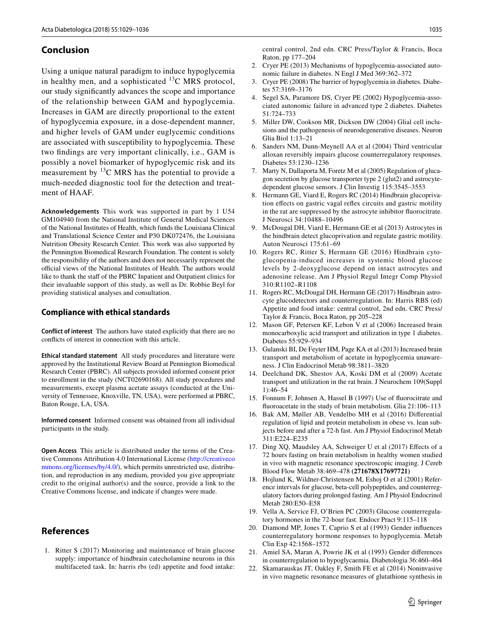## **Conclusion**

Using a unique natural paradigm to induce hypoglycemia in healthy men, and a sophisticated  $^{13}$ C MRS protocol, our study significantly advances the scope and importance of the relationship between GAM and hypoglycemia. Increases in GAM are directly proportional to the extent of hypoglycemia exposure, in a dose-dependent manner, and higher levels of GAM under euglycemic conditions are associated with susceptibility to hypoglycemia. These two findings are very important clinically, i.e., GAM is possibly a novel biomarker of hypoglycemic risk and its measurement by  $^{13}$ C MRS has the potential to provide a much-needed diagnostic tool for the detection and treatment of HAAF.

**Acknowledgements** This work was supported in part by 1 U54 GM104940 from the National Institute of General Medical Sciences of the National Institutes of Health, which funds the Louisiana Clinical and Translational Science Center and P30 DK072476, the Louisiana Nutrition Obesity Research Center. This work was also supported by the Pennington Biomedical Research Foundation. The content is solely the responsibility of the authors and does not necessarily represent the official views of the National Institutes of Health. The authors would like to thank the staff of the PBRC Inpatient and Outpatient clinics for their invaluable support of this study, as well as Dr. Robbie Beyl for providing statistical analyses and consultation.

#### **Compliance with ethical standards**

**Conflict of interest** The authors have stated explicitly that there are no conflicts of interest in connection with this article.

**Ethical standard statement** All study procedures and literature were approved by the Institutional Review Board at Pennington Biomedical Research Center (PBRC). All subjects provided informed consent prior to enrollment in the study (NCT02690168). All study procedures and measurements, except plasma acetate assays (conducted at the University of Tennessee, Knoxville, TN, USA), were performed at PBRC, Baton Rouge, LA, USA.

**Informed consent** Informed consent was obtained from all individual participants in the study.

**Open Access** This article is distributed under the terms of the Creative Commons Attribution 4.0 International License [\(http://creativeco](http://creativecommons.org/licenses/by/4.0/) [mmons.org/licenses/by/4.0/](http://creativecommons.org/licenses/by/4.0/)), which permits unrestricted use, distribution, and reproduction in any medium, provided you give appropriate credit to the original author(s) and the source, provide a link to the Creative Commons license, and indicate if changes were made.

## **References**

<span id="page-6-0"></span>1. Ritter S (2017) Monitoring and maintenance of brain glucose supply: importance of hindbrain catecholamine neurons in this multifaceted task. In: harris rbs (ed) appetite and food intake: central control, 2nd edn. CRC Press/Taylor & Francis, Boca Raton, pp 177–204

- <span id="page-6-1"></span>2. Cryer PE (2013) Mechanisms of hypoglycemia-associated autonomic failure in diabetes. N Engl J Med 369:362–372
- <span id="page-6-2"></span>3. Cryer PE (2008) The barrier of hypoglycemia in diabetes. Diabetes 57:3169–3176
- <span id="page-6-3"></span>4. Segel SA, Paramore DS, Cryer PE (2002) Hypoglycemia-associated autonomic failure in advanced type 2 diabetes. Diabetes 51:724–733
- <span id="page-6-4"></span>5. Miller DW, Cookson MR, Dickson DW (2004) Glial cell inclusions and the pathogenesis of neurodegenerative diseases. Neuron Glia Biol 1:13–21
- <span id="page-6-5"></span>6. Sanders NM, Dunn-Meynell AA et al (2004) Third ventricular alloxan reversibly impairs glucose counterregulatory responses. Diabetes 53:1230–1236
- 7. Marty N, Dallaporta M, Foretz M et al (2005) Regulation of glucagon secretion by glucose transporter type 2 (glut2) and astrocytedependent glucose sensors. J Clin Investig 115:3545–3553
- 8. Hermann GE, Viard E, Rogers RC (2014) Hindbrain glucoprivation effects on gastric vagal reflex circuits and gastric motility in the rat are suppressed by the astrocyte inhibitor fluorocitrate. J Neurosci 34:10488–10496
- 9. McDougal DH, Viard E, Hermann GE et al (2013) Astrocytes in the hindbrain detect glucoprivation and regulate gastric motility. Auton Neurosci 175:61–69
- 10. Rogers RC, Ritter S, Hermann GE (2016) Hindbrain cytoglucopenia-induced increases in systemic blood glucose levels by 2-deoxyglucose depend on intact astrocytes and adenosine release. Am J Physiol Regul Integr Comp Physiol 310:R1102–R1108
- <span id="page-6-6"></span>11. Rogers RC, McDougal DH, Hermann GE (2017) Hindbrain astrocyte glucodetectors and counterregulation. In: Harris RBS (ed) Appetite and food intake: central control, 2nd edn. CRC Press/ Taylor & Francis, Boca Raton, pp 205–228
- <span id="page-6-7"></span>12. Mason GF, Petersen KF, Lebon V et al (2006) Increased brain monocarboxylic acid transport and utilization in type 1 diabetes. Diabetes 55:929–934
- <span id="page-6-8"></span>13. Gulanski BI, De Feyter HM, Page KA et al (2013) Increased brain transport and metabolism of acetate in hypoglycemia unawareness. J Clin Endocrinol Metab 98:3811–3820
- <span id="page-6-9"></span>14. Deelchand DK, Shestov AA, Koski DM et al (2009) Acetate transport and utilization in the rat brain. J Neurochem 109(Suppl 1):46–54
- <span id="page-6-10"></span>15. Fonnum F, Johnsen A, Hassel B (1997) Use of fluorocitrate and fluoroacetate in the study of brain metabolism. Glia 21:106–113
- <span id="page-6-11"></span>16. Bak AM, Møller AB, Vendelbo MH et al (2016) Differential regulation of lipid and protein metabolism in obese vs. lean subjects before and after a 72-h fast. Am J Physiol Endocrinol Metab 311:E224–E235
- <span id="page-6-12"></span>17. Ding XQ, Maudsley AA, Schweiger U et al (2017) Effects of a 72 hours fasting on brain metabolism in healthy women studied in vivo with magnetic resonance spectroscopic imaging. J Cereb Blood Flow Metab 38:469–478 **(271678X17697721)**
- <span id="page-6-13"></span>18. Hojlund K, Wildner-Christensen M, Eshoj O et al (2001) Reference intervals for glucose, beta-cell polypeptides, and counterregulatory factors during prolonged fasting. Am J Physiol Endocrinol Metab 280:E50–E58
- <span id="page-6-14"></span>19. Vella A, Service FJ, O'Brien PC (2003) Glucose counterregulatory hormones in the 72-hour fast. Endocr Pract 9:115–118
- <span id="page-6-15"></span>20. Diamond MP, Jones T, Caprio S et al (1993) Gender influences counterregulatory hormone responses to hypoglycemia. Metab Clin Exp 42:1568–1572
- <span id="page-6-16"></span>21. Amiel SA, Maran A, Powrie JK et al (1993) Gender differences in counterregulation to hypoglycaemia. Diabetologia 36:460–464
- <span id="page-6-17"></span>22. Skamarauskas JT, Oakley F, Smith FE et al (2014) Noninvasive in vivo magnetic resonance measures of glutathione synthesis in